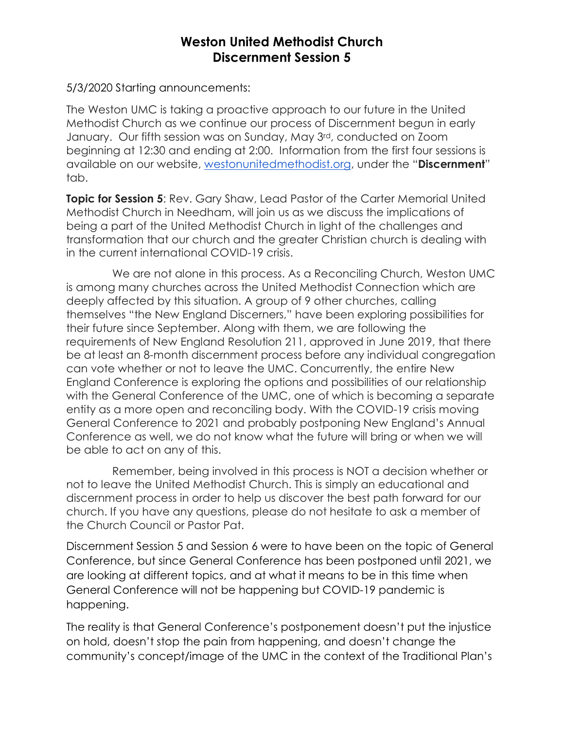## **Weston United Methodist Church Discernment Session 5**

5/3/2020 Starting announcements:

The Weston UMC is taking a proactive approach to our future in the United Methodist Church as we continue our process of Discernment begun in early January. Our fifth session was on Sunday, May 3rd, conducted on Zoom beginning at 12:30 and ending at 2:00. Information from the first four sessions is available on our website, westonunitedmethodist.org, under the "**Discernment**" tab.

**Topic for Session 5**: Rev. Gary Shaw, Lead Pastor of the Carter Memorial United Methodist Church in Needham, will join us as we discuss the implications of being a part of the United Methodist Church in light of the challenges and transformation that our church and the greater Christian church is dealing with in the current international COVID-19 crisis.

We are not alone in this process. As a Reconciling Church, Weston UMC is among many churches across the United Methodist Connection which are deeply affected by this situation. A group of 9 other churches, calling themselves "the New England Discerners," have been exploring possibilities for their future since September. Along with them, we are following the requirements of New England Resolution 211, approved in June 2019, that there be at least an 8-month discernment process before any individual congregation can vote whether or not to leave the UMC. Concurrently, the entire New England Conference is exploring the options and possibilities of our relationship with the General Conference of the UMC, one of which is becoming a separate entity as a more open and reconciling body. With the COVID-19 crisis moving General Conference to 2021 and probably postponing New England's Annual Conference as well, we do not know what the future will bring or when we will be able to act on any of this.

 Remember, being involved in this process is NOT a decision whether or not to leave the United Methodist Church. This is simply an educational and discernment process in order to help us discover the best path forward for our church. If you have any questions, please do not hesitate to ask a member of the Church Council or Pastor Pat.

Discernment Session 5 and Session 6 were to have been on the topic of General Conference, but since General Conference has been postponed until 2021, we are looking at different topics, and at what it means to be in this time when General Conference will not be happening but COVID-19 pandemic is happening.

The reality is that General Conference's postponement doesn't put the injustice on hold, doesn't stop the pain from happening, and doesn't change the community's concept/image of the UMC in the context of the Traditional Plan's